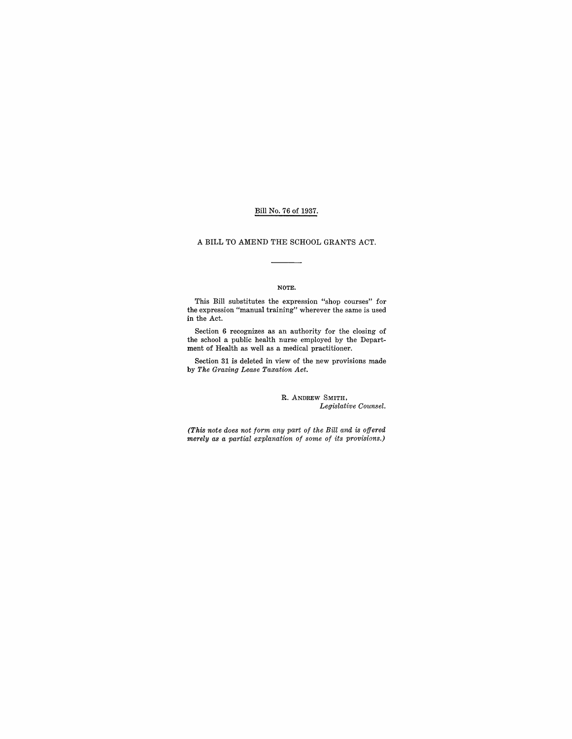### Bill No. 76 of 1937.

#### A BILL TO AMEND THE SCHOOL GRANTS ACT.

#### NOTE.

This Bill substitutes the expression "shop courses" for the expression "manual training" wherever the same is used in the Act.

Section 6 recognizes as an authority for the closing of the school a public health nurse employed by the Department of Health as well as a medical practitioner.

Section 31 is deleted in view of the new provisions made by *The Grazing Lease Taxation Act.* 

#### R. ANDREW SMITH, *Legislative Counsel.*

*(This note does not form any part of the Bill and* is *offered merely as a partial explanation of some of its provisions.)*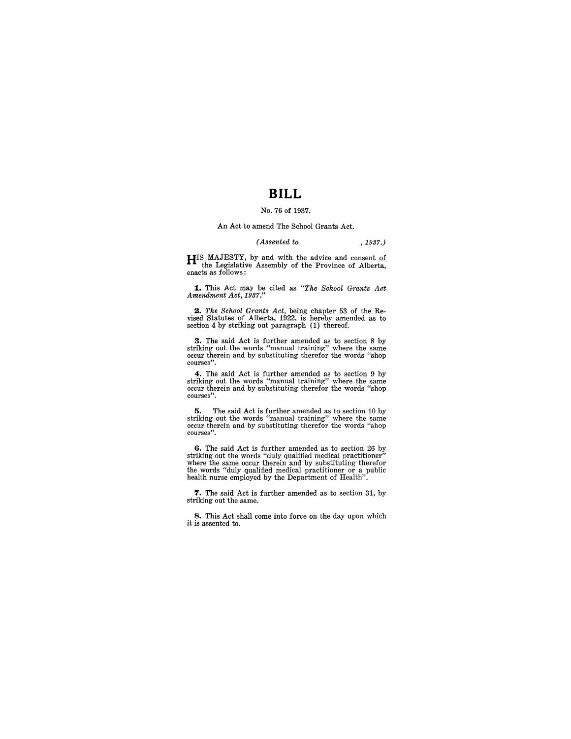# **BILL**

## No. 76 of 1937.

#### An Act to amend The School Grants Act.

#### *(Assented to* , 1937.)

HIS MAJESTY, by and with the advice and consent of the Legislative Assembly of the Province of Alberta, enacts as follows:

**1..** This Act may be cited as *"The School Grants Act Amendment Act, 1937."* 

*2. The School Grants Act,* being chapter 53 of the Re-vised Statutes of Alberta, 1922, is hereby amended as to section 4 by striking out paragraph (1) thereof.

**3.** The said Act is further amended as to section 8 by striking out the words "manual training" where the same occur therein and by substituting therefor the words "shop" courses".

4. The said Act is further amended as to section 9 by striking out the words "manual training" where the same occur therein and by substituting therefor the words "shop courses".

5. The said Act is further amended as to section 10 by striking out the words "manual training" where the same occur therein and by substituting therefor the words "shop courses".

6. The said Act is further amended as to section 26 by striking out the words "duly qualified medical practitioner" where the same occur therein and by substituting therefor the words "duly qualified medical practitioner or a public health nurse employed by the Department of Health".

7. The said Act is further amended as to section 31, by striking out the same.

8. This Act shall come into force on the day upon which it is assented to.